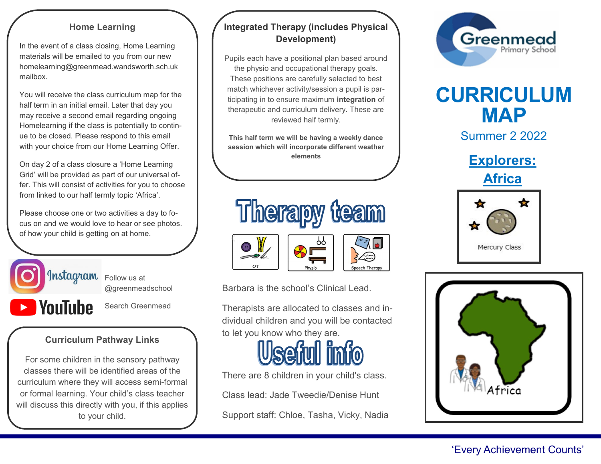#### **Home Learning**

In the event of a class closing, Home Learning materials will be emailed to you from our new homelearning@greenmead.wandsworth.sch.uk mailbox.

You will receive the class curriculum map for the half term in an initial email. Later that day you may receive a second email regarding ongoing Homelearning if the class is potentially to continue to be closed. Please respond to this email with your choice from our Home Learning Offer.

On day 2 of a class closure a 'Home Learning Grid' will be provided as part of our universal offer. This will consist of activities for you to choose from linked to our half termly topic 'Africa'.

Please choose one or two activities a day to focus on and we would love to hear or see photos. of how your child is getting on at home.



@greenmeadschool

**NouTube** 

Ī

Search Greenmead

## **Curriculum Pathway Links**

For some children in the sensory pathway classes there will be identified areas of the curriculum where they will access semi-formal or formal learning. Your child's class teacher will discuss this directly with you, if this applies to your child.

## **Integrated Therapy (includes Physical Development)**

Pupils each have a positional plan based around the physio and occupational therapy goals. These positions are carefully selected to best match whichever activity/session a pupil is participating in to ensure maximum **integration** of therapeutic and curriculum delivery. These are reviewed half termly.

**This half term we will be having a weekly dance session which will incorporate different weather elements**



Barbara is the school's Clinical Lead.

Therapists are allocated to classes and individual children and you will be contacted to let you know who they are.



There are 8 children in your child's class.

Class lead: Jade Tweedie/Denise Hunt Support staff: Chloe, Tasha, Vicky, Nadia



# **CURRICULUM MAP**

Summer 2 2022

**Explorers: Africa**